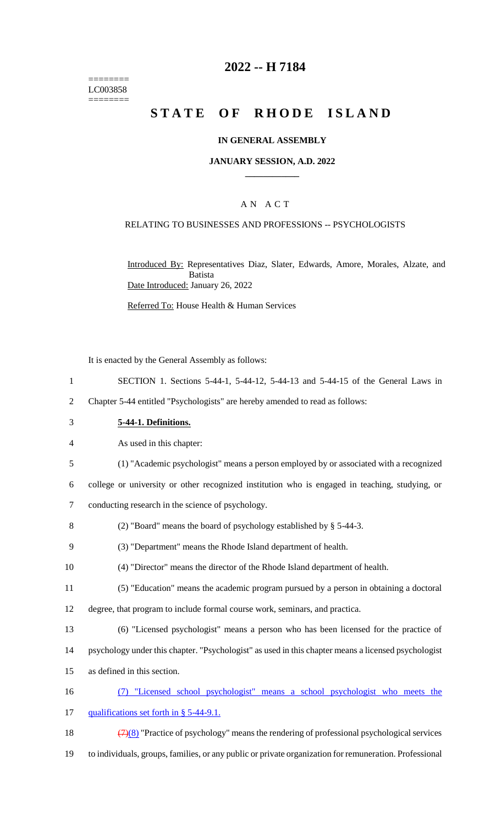======== LC003858 ========

# **2022 -- H 7184**

# **STATE OF RHODE ISLAND**

### **IN GENERAL ASSEMBLY**

### **JANUARY SESSION, A.D. 2022 \_\_\_\_\_\_\_\_\_\_\_\_**

## A N A C T

### RELATING TO BUSINESSES AND PROFESSIONS -- PSYCHOLOGISTS

Introduced By: Representatives Diaz, Slater, Edwards, Amore, Morales, Alzate, and Batista Date Introduced: January 26, 2022

Referred To: House Health & Human Services

It is enacted by the General Assembly as follows:

1 SECTION 1. Sections 5-44-1, 5-44-12, 5-44-13 and 5-44-15 of the General Laws in

2 Chapter 5-44 entitled "Psychologists" are hereby amended to read as follows:

3 **5-44-1. Definitions.**

4 As used in this chapter:

5 (1) "Academic psychologist" means a person employed by or associated with a recognized

6 college or university or other recognized institution who is engaged in teaching, studying, or

7 conducting research in the science of psychology.

8 (2) "Board" means the board of psychology established by § 5-44-3.

9 (3) "Department" means the Rhode Island department of health.

10 (4) "Director" means the director of the Rhode Island department of health.

11 (5) "Education" means the academic program pursued by a person in obtaining a doctoral

12 degree, that program to include formal course work, seminars, and practica.

13 (6) "Licensed psychologist" means a person who has been licensed for the practice of

14 psychology under this chapter. "Psychologist" as used in this chapter means a licensed psychologist

15 as defined in this section.

16 (7) "Licensed school psychologist" means a school psychologist who meets the

17 qualifications set forth in § 5-44-9.1.

18  $(7)(8)$  "Practice of psychology" means the rendering of professional psychological services

19 to individuals, groups, families, or any public or private organization for remuneration. Professional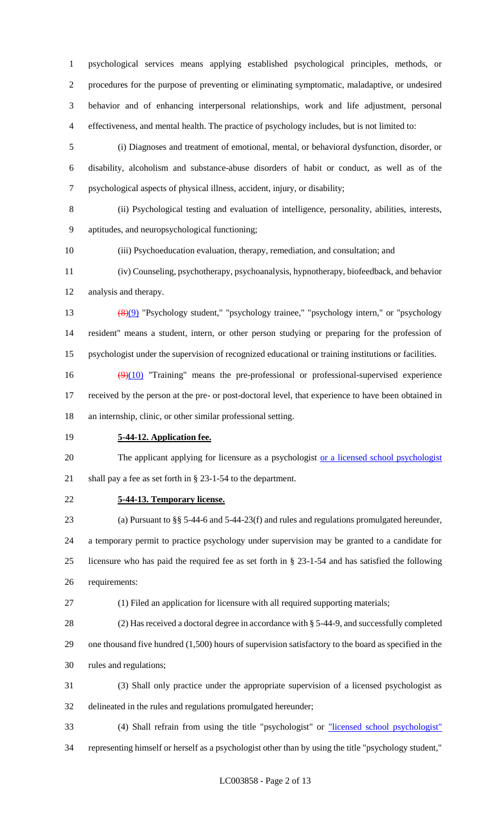psychological services means applying established psychological principles, methods, or procedures for the purpose of preventing or eliminating symptomatic, maladaptive, or undesired behavior and of enhancing interpersonal relationships, work and life adjustment, personal effectiveness, and mental health. The practice of psychology includes, but is not limited to:

 (i) Diagnoses and treatment of emotional, mental, or behavioral dysfunction, disorder, or disability, alcoholism and substance-abuse disorders of habit or conduct, as well as of the psychological aspects of physical illness, accident, injury, or disability;

 (ii) Psychological testing and evaluation of intelligence, personality, abilities, interests, aptitudes, and neuropsychological functioning;

(iii) Psychoeducation evaluation, therapy, remediation, and consultation; and

 (iv) Counseling, psychotherapy, psychoanalysis, hypnotherapy, biofeedback, and behavior analysis and therapy.

 (8)(9) "Psychology student," "psychology trainee," "psychology intern," or "psychology resident" means a student, intern, or other person studying or preparing for the profession of psychologist under the supervision of recognized educational or training institutions or facilities.

16  $(9)(10)$  "Training" means the pre-professional or professional-supervised experience received by the person at the pre- or post-doctoral level, that experience to have been obtained in an internship, clinic, or other similar professional setting.

**5-44-12. Application fee.**

20 The applicant applying for licensure as a psychologist or a licensed school psychologist shall pay a fee as set forth in § 23-1-54 to the department.

**5-44-13. Temporary license.**

 (a) Pursuant to §§ 5-44-6 and 5-44-23(f) and rules and regulations promulgated hereunder, a temporary permit to practice psychology under supervision may be granted to a candidate for licensure who has paid the required fee as set forth in § 23-1-54 and has satisfied the following requirements:

(1) Filed an application for licensure with all required supporting materials;

 (2) Has received a doctoral degree in accordance with § 5-44-9, and successfully completed one thousand five hundred (1,500) hours of supervision satisfactory to the board as specified in the rules and regulations;

 (3) Shall only practice under the appropriate supervision of a licensed psychologist as delineated in the rules and regulations promulgated hereunder;

 (4) Shall refrain from using the title "psychologist" or "licensed school psychologist" representing himself or herself as a psychologist other than by using the title "psychology student,"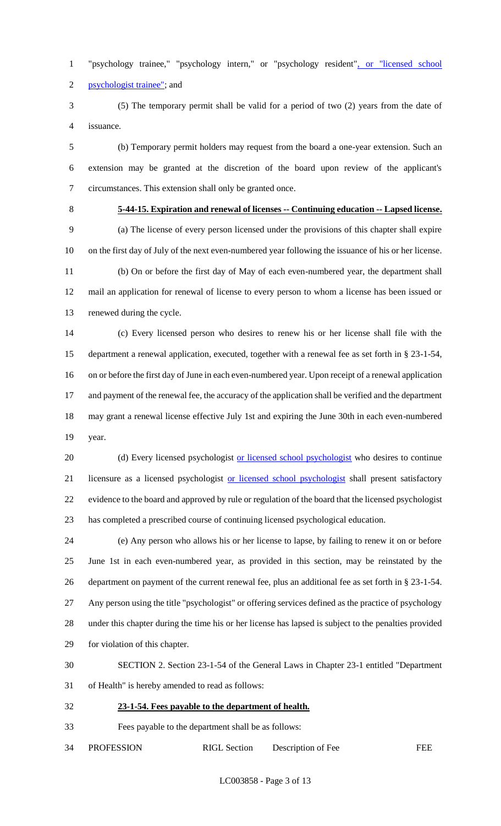1 "psychology trainee," "psychology intern," or "psychology resident", or "licensed school psychologist trainee"; and

 (5) The temporary permit shall be valid for a period of two (2) years from the date of issuance.

 (b) Temporary permit holders may request from the board a one-year extension. Such an extension may be granted at the discretion of the board upon review of the applicant's circumstances. This extension shall only be granted once.

# **5-44-15. Expiration and renewal of licenses -- Continuing education -- Lapsed license.**

 (a) The license of every person licensed under the provisions of this chapter shall expire on the first day of July of the next even-numbered year following the issuance of his or her license. (b) On or before the first day of May of each even-numbered year, the department shall mail an application for renewal of license to every person to whom a license has been issued or renewed during the cycle.

 (c) Every licensed person who desires to renew his or her license shall file with the department a renewal application, executed, together with a renewal fee as set forth in § 23-1-54, on or before the first day of June in each even-numbered year. Upon receipt of a renewal application and payment of the renewal fee, the accuracy of the application shall be verified and the department may grant a renewal license effective July 1st and expiring the June 30th in each even-numbered year.

20 (d) Every licensed psychologist or licensed school psychologist who desires to continue 21 licensure as a licensed psychologist or licensed school psychologist shall present satisfactory evidence to the board and approved by rule or regulation of the board that the licensed psychologist has completed a prescribed course of continuing licensed psychological education.

 (e) Any person who allows his or her license to lapse, by failing to renew it on or before June 1st in each even-numbered year, as provided in this section, may be reinstated by the department on payment of the current renewal fee, plus an additional fee as set forth in § 23-1-54. Any person using the title "psychologist" or offering services defined as the practice of psychology under this chapter during the time his or her license has lapsed is subject to the penalties provided for violation of this chapter.

 SECTION 2. Section 23-1-54 of the General Laws in Chapter 23-1 entitled "Department of Health" is hereby amended to read as follows:

**23-1-54. Fees payable to the department of health.**

Fees payable to the department shall be as follows:

34 PROFESSION RIGL Section Description of Fee FEE

LC003858 - Page 3 of 13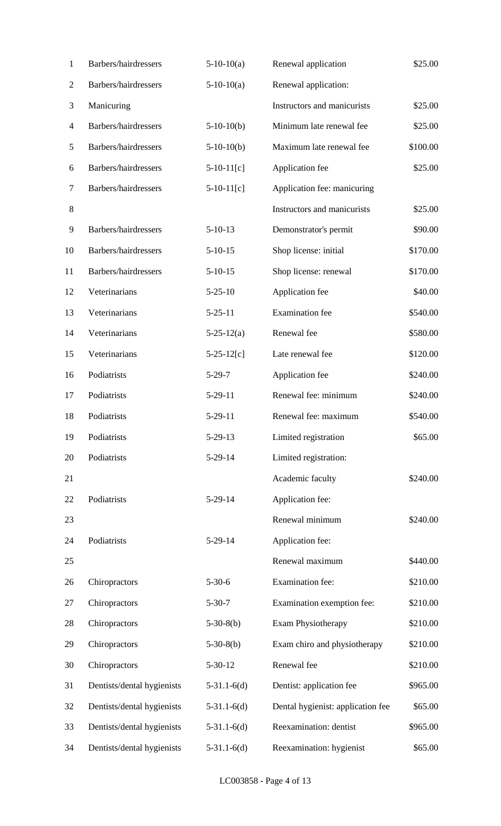| $\mathbf{1}$   | Barbers/hairdressers       | $5-10-10(a)$     | Renewal application               | \$25.00  |
|----------------|----------------------------|------------------|-----------------------------------|----------|
| $\mathfrak{2}$ | Barbers/hairdressers       | $5-10-10(a)$     | Renewal application:              |          |
| 3              | Manicuring                 |                  | Instructors and manicurists       | \$25.00  |
| 4              | Barbers/hairdressers       | $5-10-10(b)$     | Minimum late renewal fee          | \$25.00  |
| 5              | Barbers/hairdressers       | $5-10-10(b)$     | Maximum late renewal fee          | \$100.00 |
| 6              | Barbers/hairdressers       | $5-10-11[c]$     | Application fee                   | \$25.00  |
| 7              | Barbers/hairdressers       | $5-10-11[c]$     | Application fee: manicuring       |          |
| $8\,$          |                            |                  | Instructors and manicurists       | \$25.00  |
| 9              | Barbers/hairdressers       | $5-10-13$        | Demonstrator's permit             | \$90.00  |
| 10             | Barbers/hairdressers       | $5-10-15$        | Shop license: initial             | \$170.00 |
| 11             | Barbers/hairdressers       | $5-10-15$        | Shop license: renewal             | \$170.00 |
| 12             | Veterinarians              | $5 - 25 - 10$    | Application fee                   | \$40.00  |
| 13             | Veterinarians              | $5 - 25 - 11$    | <b>Examination</b> fee            | \$540.00 |
| 14             | Veterinarians              | $5 - 25 - 12(a)$ | Renewal fee                       | \$580.00 |
| 15             | Veterinarians              | $5 - 25 - 12[c]$ | Late renewal fee                  | \$120.00 |
| 16             | Podiatrists                | $5-29-7$         | Application fee                   | \$240.00 |
| 17             | Podiatrists                | $5-29-11$        | Renewal fee: minimum              | \$240.00 |
| 18             | Podiatrists                | $5-29-11$        | Renewal fee: maximum              | \$540.00 |
| 19             | Podiatrists                | $5 - 29 - 13$    | Limited registration              | \$65.00  |
| 20             | Podiatrists                | $5-29-14$        | Limited registration:             |          |
| 21             |                            |                  | Academic faculty                  | \$240.00 |
| 22             | Podiatrists                | $5-29-14$        | Application fee:                  |          |
| 23             |                            |                  | Renewal minimum                   | \$240.00 |
| 24             | Podiatrists                | $5-29-14$        | Application fee:                  |          |
| 25             |                            |                  | Renewal maximum                   | \$440.00 |
| 26             | Chiropractors              | $5 - 30 - 6$     | Examination fee:                  | \$210.00 |
| 27             | Chiropractors              | $5 - 30 - 7$     | Examination exemption fee:        | \$210.00 |
| 28             | Chiropractors              | $5-30-8(b)$      | Exam Physiotherapy                | \$210.00 |
| 29             | Chiropractors              | $5-30-8(b)$      | Exam chiro and physiotherapy      | \$210.00 |
| 30             | Chiropractors              | $5 - 30 - 12$    | Renewal fee                       | \$210.00 |
| 31             | Dentists/dental hygienists | $5-31.1-6(d)$    | Dentist: application fee          | \$965.00 |
| 32             | Dentists/dental hygienists | $5-31.1-6(d)$    | Dental hygienist: application fee | \$65.00  |
| 33             | Dentists/dental hygienists | $5-31.1-6(d)$    | Reexamination: dentist            | \$965.00 |
| 34             | Dentists/dental hygienists | $5-31.1-6(d)$    | Reexamination: hygienist          | \$65.00  |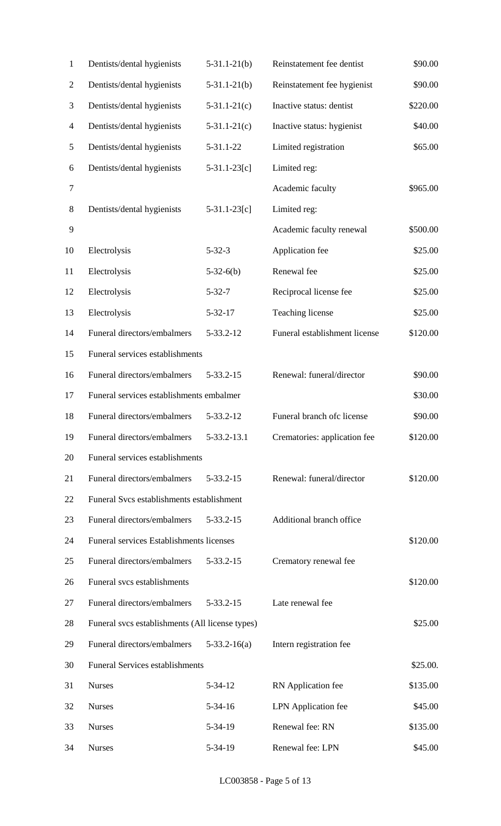| 1                | Dentists/dental hygienists                      | $5-31.1-21(b)$     | Reinstatement fee dentist     | \$90.00  |
|------------------|-------------------------------------------------|--------------------|-------------------------------|----------|
| $\mathfrak{2}$   | Dentists/dental hygienists                      | $5 - 31.1 - 21(b)$ | Reinstatement fee hygienist   | \$90.00  |
| 3                | Dentists/dental hygienists                      | $5-31.1-21(c)$     | Inactive status: dentist      | \$220.00 |
| $\overline{4}$   | Dentists/dental hygienists                      | $5-31.1-21(c)$     | Inactive status: hygienist    | \$40.00  |
| $\mathfrak{S}$   | Dentists/dental hygienists                      | 5-31.1-22          | Limited registration          | \$65.00  |
| 6                | Dentists/dental hygienists                      | $5-31.1-23[c]$     | Limited reg:                  |          |
| $\boldsymbol{7}$ |                                                 |                    | Academic faculty              | \$965.00 |
| $8\,$            | Dentists/dental hygienists                      | $5-31.1-23[c]$     | Limited reg:                  |          |
| 9                |                                                 |                    | Academic faculty renewal      | \$500.00 |
| 10               | Electrolysis                                    | $5 - 32 - 3$       | Application fee               | \$25.00  |
| 11               | Electrolysis                                    | $5-32-6(b)$        | Renewal fee                   | \$25.00  |
| 12               | Electrolysis                                    | $5 - 32 - 7$       | Reciprocal license fee        | \$25.00  |
| 13               | Electrolysis                                    | $5 - 32 - 17$      | Teaching license              | \$25.00  |
| 14               | Funeral directors/embalmers                     | 5-33.2-12          | Funeral establishment license | \$120.00 |
| 15               | Funeral services establishments                 |                    |                               |          |
| 16               | Funeral directors/embalmers                     | 5-33.2-15          | Renewal: funeral/director     | \$90.00  |
| 17               | Funeral services establishments embalmer        |                    |                               | \$30.00  |
| 18               | Funeral directors/embalmers                     | 5-33.2-12          | Funeral branch ofc license    | \$90.00  |
| 19               | Funeral directors/embalmers                     | 5-33.2-13.1        | Crematories: application fee  | \$120.00 |
| 20               | Funeral services establishments                 |                    |                               |          |
| 21               | Funeral directors/embalmers                     | 5-33.2-15          | Renewal: funeral/director     | \$120.00 |
| 22               | Funeral Svcs establishments establishment       |                    |                               |          |
| 23               | Funeral directors/embalmers                     | 5-33.2-15          | Additional branch office      |          |
| 24               | Funeral services Establishments licenses        |                    |                               | \$120.00 |
| 25               | Funeral directors/embalmers                     | 5-33.2-15          | Crematory renewal fee         |          |
| 26               | Funeral svcs establishments                     |                    |                               | \$120.00 |
| 27               | Funeral directors/embalmers                     | $5 - 33.2 - 15$    | Late renewal fee              |          |
| 28               | Funeral svcs establishments (All license types) |                    |                               | \$25.00  |
| 29               | Funeral directors/embalmers                     | $5-33.2-16(a)$     | Intern registration fee       |          |
| 30               | <b>Funeral Services establishments</b>          |                    |                               | \$25.00. |
| 31               | <b>Nurses</b>                                   | $5 - 34 - 12$      | RN Application fee            | \$135.00 |
| 32               | <b>Nurses</b>                                   | $5 - 34 - 16$      | <b>LPN</b> Application fee    | \$45.00  |
| 33               | <b>Nurses</b>                                   | 5-34-19            | Renewal fee: RN               | \$135.00 |
| 34               | <b>Nurses</b>                                   | 5-34-19            | Renewal fee: LPN              | \$45.00  |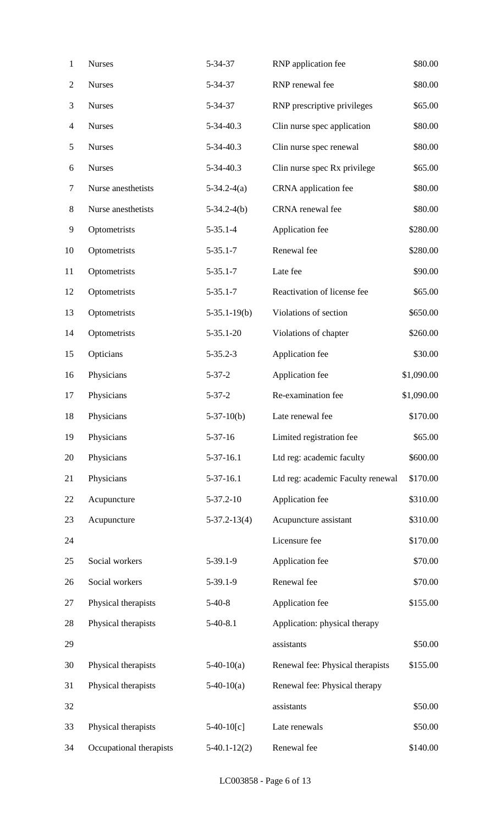| 1              | <b>Nurses</b>           | 5-34-37            | RNP application fee               | \$80.00    |
|----------------|-------------------------|--------------------|-----------------------------------|------------|
| $\mathfrak{2}$ | <b>Nurses</b>           | 5-34-37            | RNP renewal fee                   | \$80.00    |
| 3              | <b>Nurses</b>           | 5-34-37            | RNP prescriptive privileges       | \$65.00    |
| $\overline{4}$ | <b>Nurses</b>           | 5-34-40.3          | Clin nurse spec application       | \$80.00    |
| $\mathfrak{S}$ | <b>Nurses</b>           | 5-34-40.3          | Clin nurse spec renewal           | \$80.00    |
| 6              | <b>Nurses</b>           | 5-34-40.3          | Clin nurse spec Rx privilege      | \$65.00    |
| $\tau$         | Nurse anesthetists      | $5-34.2-4(a)$      | CRNA application fee              | \$80.00    |
| $8\,$          | Nurse anesthetists      | $5-34.2-4(b)$      | CRNA renewal fee                  | \$80.00    |
| 9              | Optometrists            | $5 - 35.1 - 4$     | Application fee                   | \$280.00   |
| 10             | Optometrists            | $5 - 35.1 - 7$     | Renewal fee                       | \$280.00   |
| 11             | Optometrists            | $5 - 35.1 - 7$     | Late fee                          | \$90.00    |
| 12             | Optometrists            | $5 - 35.1 - 7$     | Reactivation of license fee       | \$65.00    |
| 13             | Optometrists            | $5-35.1-19(b)$     | Violations of section             | \$650.00   |
| 14             | Optometrists            | $5 - 35.1 - 20$    | Violations of chapter             | \$260.00   |
| 15             | Opticians               | $5 - 35.2 - 3$     | Application fee                   | \$30.00    |
| 16             | Physicians              | $5 - 37 - 2$       | Application fee                   | \$1,090.00 |
| 17             | Physicians              | $5 - 37 - 2$       | Re-examination fee                | \$1,090.00 |
| 18             | Physicians              | $5-37-10(b)$       | Late renewal fee                  | \$170.00   |
| 19             | Physicians              | $5 - 37 - 16$      | Limited registration fee          | \$65.00    |
| 20             | Physicians              | $5-37-16.1$        | Ltd reg: academic faculty         | \$600.00   |
| 21             | Physicians              | $5-37-16.1$        | Ltd reg: academic Faculty renewal | \$170.00   |
| 22             | Acupuncture             | $5 - 37.2 - 10$    | Application fee                   | \$310.00   |
| 23             | Acupuncture             | $5 - 37.2 - 13(4)$ | Acupuncture assistant             | \$310.00   |
| 24             |                         |                    | Licensure fee                     | \$170.00   |
| 25             | Social workers          | $5-39.1-9$         | Application fee                   | \$70.00    |
| 26             | Social workers          | $5-39.1-9$         | Renewal fee                       | \$70.00    |
| 27             | Physical therapists     | $5-40-8$           | Application fee                   | \$155.00   |
| 28             | Physical therapists     | $5-40-8.1$         | Application: physical therapy     |            |
| 29             |                         |                    | assistants                        | \$50.00    |
| 30             | Physical therapists     | $5-40-10(a)$       | Renewal fee: Physical therapists  | \$155.00   |
| 31             | Physical therapists     | $5-40-10(a)$       | Renewal fee: Physical therapy     |            |
| 32             |                         |                    | assistants                        | \$50.00    |
| 33             | Physical therapists     | $5-40-10[c]$       | Late renewals                     | \$50.00    |
| 34             | Occupational therapists | $5-40.1-12(2)$     | Renewal fee                       | \$140.00   |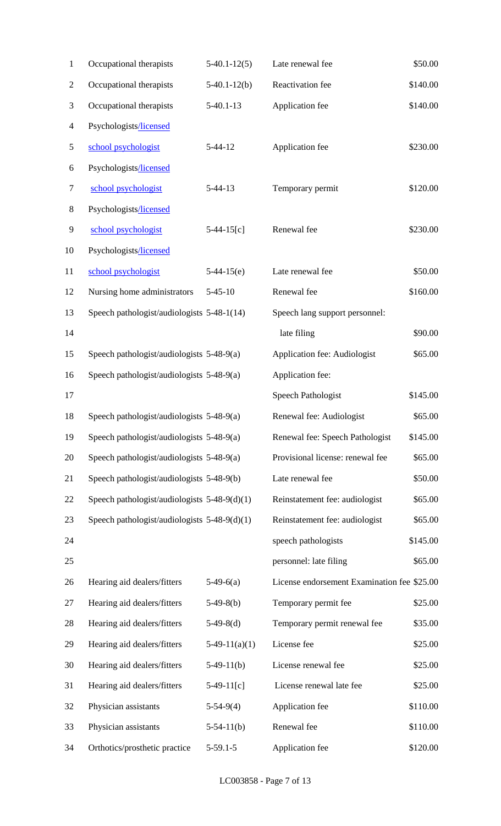| 1              | Occupational therapists                        | $5-40.1-12(5)$  | Late renewal fee                            | \$50.00  |
|----------------|------------------------------------------------|-----------------|---------------------------------------------|----------|
| $\mathfrak{2}$ | Occupational therapists                        | $5-40.1-12(b)$  | Reactivation fee                            | \$140.00 |
| 3              | Occupational therapists                        | $5-40.1-13$     | Application fee                             | \$140.00 |
| 4              | Psychologists/licensed                         |                 |                                             |          |
| 5              | school psychologist                            | $5-44-12$       | Application fee                             | \$230.00 |
| 6              | Psychologists/licensed                         |                 |                                             |          |
| 7              | school psychologist                            | $5-44-13$       | Temporary permit                            | \$120.00 |
| 8              | Psychologists/licensed                         |                 |                                             |          |
| 9              | school psychologist                            | $5-44-15[c]$    | Renewal fee                                 | \$230.00 |
| 10             | Psychologists/licensed                         |                 |                                             |          |
| 11             | school psychologist                            | $5-44-15(e)$    | Late renewal fee                            | \$50.00  |
| 12             | Nursing home administrators                    | $5 - 45 - 10$   | Renewal fee                                 | \$160.00 |
| 13             | Speech pathologist/audiologists 5-48-1(14)     |                 | Speech lang support personnel:              |          |
| 14             |                                                |                 | late filing                                 | \$90.00  |
| 15             | Speech pathologist/audiologists 5-48-9(a)      |                 | Application fee: Audiologist                | \$65.00  |
| 16             | Speech pathologist/audiologists 5-48-9(a)      |                 | Application fee:                            |          |
| 17             |                                                |                 | Speech Pathologist                          | \$145.00 |
| 18             | Speech pathologist/audiologists 5-48-9(a)      |                 | Renewal fee: Audiologist                    | \$65.00  |
| 19             | Speech pathologist/audiologists $5-48-9(a)$    |                 | Renewal fee: Speech Pathologist             | \$145.00 |
| 20             | Speech pathologist/audiologists 5-48-9(a)      |                 | Provisional license: renewal fee            | \$65.00  |
| 21             | Speech pathologist/audiologists 5-48-9(b)      |                 | Late renewal fee                            | \$50.00  |
| 22             | Speech pathologist/audiologists $5-48-9(d)(1)$ |                 | Reinstatement fee: audiologist              | \$65.00  |
| 23             | Speech pathologist/audiologists $5-48-9(d)(1)$ |                 | Reinstatement fee: audiologist              | \$65.00  |
| 24             |                                                |                 | speech pathologists                         | \$145.00 |
| 25             |                                                |                 | personnel: late filing                      | \$65.00  |
| 26             | Hearing aid dealers/fitters                    | $5-49-6(a)$     | License endorsement Examination fee \$25.00 |          |
| 27             | Hearing aid dealers/fitters                    | $5-49-8(b)$     | Temporary permit fee                        | \$25.00  |
| 28             | Hearing aid dealers/fitters                    | $5-49-8(d)$     | Temporary permit renewal fee                | \$35.00  |
| 29             | Hearing aid dealers/fitters                    | $5-49-11(a)(1)$ | License fee                                 | \$25.00  |
| 30             | Hearing aid dealers/fitters                    | $5-49-11(b)$    | License renewal fee                         | \$25.00  |
| 31             | Hearing aid dealers/fitters                    | $5-49-11[c]$    | License renewal late fee                    | \$25.00  |
| 32             | Physician assistants                           | $5-54-9(4)$     | Application fee                             | \$110.00 |
| 33             | Physician assistants                           | $5-54-11(b)$    | Renewal fee                                 | \$110.00 |
| 34             | Orthotics/prosthetic practice                  | $5-59.1-5$      | Application fee                             | \$120.00 |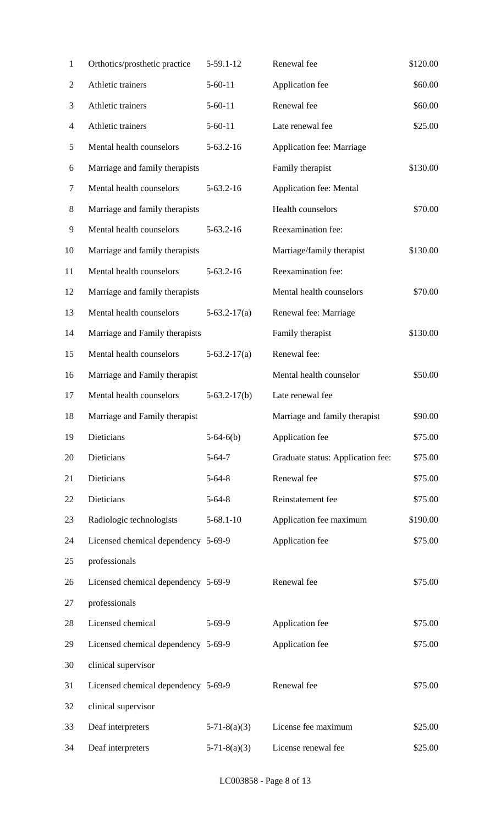| $\mathbf{1}$ | Orthotics/prosthetic practice       | 5-59.1-12       | Renewal fee                       | \$120.00 |
|--------------|-------------------------------------|-----------------|-----------------------------------|----------|
| 2            | Athletic trainers                   | $5 - 60 - 11$   | Application fee                   | \$60.00  |
| 3            | Athletic trainers                   | $5 - 60 - 11$   | Renewal fee                       | \$60.00  |
| 4            | Athletic trainers                   | $5 - 60 - 11$   | Late renewal fee                  | \$25.00  |
| 5            | Mental health counselors            | $5 - 63.2 - 16$ | Application fee: Marriage         |          |
| 6            | Marriage and family therapists      |                 | Family therapist                  | \$130.00 |
| 7            | Mental health counselors            | $5-63.2-16$     | Application fee: Mental           |          |
| 8            | Marriage and family therapists      |                 | Health counselors                 | \$70.00  |
| 9            | Mental health counselors            | $5-63.2-16$     | Reexamination fee:                |          |
| 10           | Marriage and family therapists      |                 | Marriage/family therapist         | \$130.00 |
| 11           | Mental health counselors            | $5-63.2-16$     | Reexamination fee:                |          |
| 12           | Marriage and family therapists      |                 | Mental health counselors          | \$70.00  |
| 13           | Mental health counselors            | $5-63.2-17(a)$  | Renewal fee: Marriage             |          |
| 14           | Marriage and Family therapists      |                 | Family therapist                  | \$130.00 |
| 15           | Mental health counselors            | $5-63.2-17(a)$  | Renewal fee:                      |          |
| 16           | Marriage and Family therapist       |                 | Mental health counselor           | \$50.00  |
| 17           | Mental health counselors            | $5-63.2-17(b)$  | Late renewal fee                  |          |
| 18           | Marriage and Family therapist       |                 | Marriage and family therapist     | \$90.00  |
| 19           | Dieticians                          | $5-64-6(b)$     | Application fee                   | \$75.00  |
| 20           | Dieticians                          | $5 - 64 - 7$    | Graduate status: Application fee: | \$75.00  |
| 21           | Dieticians                          | $5 - 64 - 8$    | Renewal fee                       | \$75.00  |
| 22           | Dieticians                          | $5 - 64 - 8$    | Reinstatement fee                 | \$75.00  |
| 23           | Radiologic technologists            | $5 - 68.1 - 10$ | Application fee maximum           | \$190.00 |
| 24           | Licensed chemical dependency 5-69-9 |                 | Application fee                   | \$75.00  |
| 25           | professionals                       |                 |                                   |          |
| 26           | Licensed chemical dependency 5-69-9 |                 | Renewal fee                       | \$75.00  |
| 27           | professionals                       |                 |                                   |          |
| 28           | Licensed chemical                   | $5 - 69 - 9$    | Application fee                   | \$75.00  |
| 29           | Licensed chemical dependency 5-69-9 |                 | Application fee                   | \$75.00  |
| 30           | clinical supervisor                 |                 |                                   |          |
| 31           | Licensed chemical dependency 5-69-9 |                 | Renewal fee                       | \$75.00  |
| 32           | clinical supervisor                 |                 |                                   |          |
| 33           | Deaf interpreters                   | $5-71-8(a)(3)$  | License fee maximum               | \$25.00  |
| 34           | Deaf interpreters                   | $5-71-8(a)(3)$  | License renewal fee               | \$25.00  |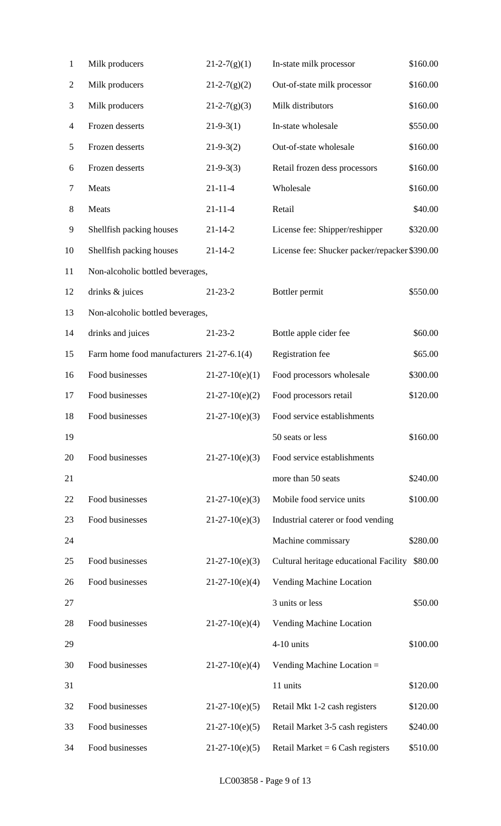| $\mathbf{1}$   | Milk producers                            | $21 - 2 - 7(g)(1)$ | In-state milk processor                       | \$160.00 |
|----------------|-------------------------------------------|--------------------|-----------------------------------------------|----------|
| $\overline{2}$ | Milk producers                            | $21 - 2 - 7(g)(2)$ | Out-of-state milk processor                   | \$160.00 |
| 3              | Milk producers                            | $21 - 2 - 7(g)(3)$ | Milk distributors                             | \$160.00 |
| 4              | Frozen desserts                           | $21-9-3(1)$        | In-state wholesale                            | \$550.00 |
| 5              | Frozen desserts                           | $21-9-3(2)$        | Out-of-state wholesale                        | \$160.00 |
| 6              | Frozen desserts                           | $21 - 9 - 3(3)$    | Retail frozen dess processors                 | \$160.00 |
| 7              | Meats                                     | $21 - 11 - 4$      | Wholesale                                     | \$160.00 |
| $8\,$          | Meats                                     | $21 - 11 - 4$      | Retail                                        | \$40.00  |
| 9              | Shellfish packing houses                  | $21 - 14 - 2$      | License fee: Shipper/reshipper                | \$320.00 |
| 10             | Shellfish packing houses                  | $21 - 14 - 2$      | License fee: Shucker packer/repacker \$390.00 |          |
| 11             | Non-alcoholic bottled beverages,          |                    |                                               |          |
| 12             | drinks & juices                           | $21 - 23 - 2$      | Bottler permit                                | \$550.00 |
| 13             | Non-alcoholic bottled beverages,          |                    |                                               |          |
| 14             | drinks and juices                         | $21 - 23 - 2$      | Bottle apple cider fee                        | \$60.00  |
| 15             | Farm home food manufacturers 21-27-6.1(4) |                    | Registration fee                              | \$65.00  |
| 16             | Food businesses                           | $21-27-10(e)(1)$   | Food processors wholesale                     | \$300.00 |
| 17             | Food businesses                           | $21-27-10(e)(2)$   | Food processors retail                        | \$120.00 |
| 18             | Food businesses                           | $21-27-10(e)(3)$   | Food service establishments                   |          |
| 19             |                                           |                    | 50 seats or less                              | \$160.00 |
| 20             | Food businesses                           | $21-27-10(e)(3)$   | Food service establishments                   |          |
| 21             |                                           |                    | more than 50 seats                            | \$240.00 |
| 22             | Food businesses                           | $21-27-10(e)(3)$   | Mobile food service units                     | \$100.00 |
| 23             | Food businesses                           | $21-27-10(e)(3)$   | Industrial caterer or food vending            |          |
| 24             |                                           |                    | Machine commissary                            | \$280.00 |
| 25             | Food businesses                           | $21-27-10(e)(3)$   | Cultural heritage educational Facility        | \$80.00  |
| 26             | Food businesses                           | $21-27-10(e)(4)$   | Vending Machine Location                      |          |
| 27             |                                           |                    | 3 units or less                               | \$50.00  |
| 28             | Food businesses                           | $21-27-10(e)(4)$   | Vending Machine Location                      |          |
| 29             |                                           |                    | 4-10 units                                    | \$100.00 |
| 30             | Food businesses                           | $21-27-10(e)(4)$   | Vending Machine Location =                    |          |
| 31             |                                           |                    | 11 units                                      | \$120.00 |
| 32             | Food businesses                           | $21-27-10(e)(5)$   | Retail Mkt 1-2 cash registers                 | \$120.00 |
| 33             | Food businesses                           | $21-27-10(e)(5)$   | Retail Market 3-5 cash registers              | \$240.00 |
| 34             | Food businesses                           | $21-27-10(e)(5)$   | Retail Market = $6$ Cash registers            | \$510.00 |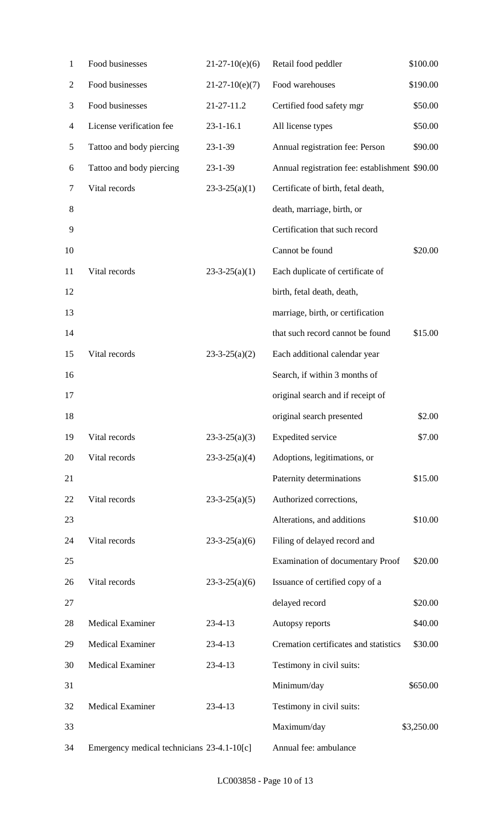| $\mathbf{1}$ | Food businesses                            | $21-27-10(e)(6)$    | Retail food peddler                            | \$100.00   |
|--------------|--------------------------------------------|---------------------|------------------------------------------------|------------|
| 2            | Food businesses                            | $21-27-10(e)(7)$    | Food warehouses                                | \$190.00   |
| 3            | Food businesses                            | 21-27-11.2          | Certified food safety mgr                      | \$50.00    |
| 4            | License verification fee                   | $23 - 1 - 16.1$     | All license types                              | \$50.00    |
| 5            | Tattoo and body piercing                   | 23-1-39             | Annual registration fee: Person                | \$90.00    |
| 6            | Tattoo and body piercing                   | $23 - 1 - 39$       | Annual registration fee: establishment \$90.00 |            |
| 7            | Vital records                              | $23-3-25(a)(1)$     | Certificate of birth, fetal death,             |            |
| 8            |                                            |                     | death, marriage, birth, or                     |            |
| 9            |                                            |                     | Certification that such record                 |            |
| 10           |                                            |                     | Cannot be found                                | \$20.00    |
| 11           | Vital records                              | $23-3-25(a)(1)$     | Each duplicate of certificate of               |            |
| 12           |                                            |                     | birth, fetal death, death,                     |            |
| 13           |                                            |                     | marriage, birth, or certification              |            |
| 14           |                                            |                     | that such record cannot be found               | \$15.00    |
| 15           | Vital records                              | $23 - 3 - 25(a)(2)$ | Each additional calendar year                  |            |
| 16           |                                            |                     | Search, if within 3 months of                  |            |
| 17           |                                            |                     | original search and if receipt of              |            |
| 18           |                                            |                     | original search presented                      | \$2.00     |
| 19           | Vital records                              | $23-3-25(a)(3)$     | <b>Expedited service</b>                       | \$7.00     |
| 20           | Vital records                              | $23-3-25(a)(4)$     | Adoptions, legitimations, or                   |            |
| 21           |                                            |                     | Paternity determinations                       | \$15.00    |
| 22           | Vital records                              | $23 - 3 - 25(a)(5)$ | Authorized corrections,                        |            |
| 23           |                                            |                     | Alterations, and additions                     | \$10.00    |
| 24           | Vital records                              | $23 - 3 - 25(a)(6)$ | Filing of delayed record and                   |            |
| 25           |                                            |                     | <b>Examination of documentary Proof</b>        | \$20.00    |
| 26           | Vital records                              | $23 - 3 - 25(a)(6)$ | Issuance of certified copy of a                |            |
| 27           |                                            |                     | delayed record                                 | \$20.00    |
| 28           | <b>Medical Examiner</b>                    | $23 - 4 - 13$       | Autopsy reports                                | \$40.00    |
| 29           | <b>Medical Examiner</b>                    | $23 - 4 - 13$       | Cremation certificates and statistics          | \$30.00    |
| 30           | <b>Medical Examiner</b>                    | $23 - 4 - 13$       | Testimony in civil suits:                      |            |
| 31           |                                            |                     | Minimum/day                                    | \$650.00   |
| 32           | <b>Medical Examiner</b>                    | $23 - 4 - 13$       | Testimony in civil suits:                      |            |
| 33           |                                            |                     | Maximum/day                                    | \$3,250.00 |
| 34           | Emergency medical technicians 23-4.1-10[c] |                     | Annual fee: ambulance                          |            |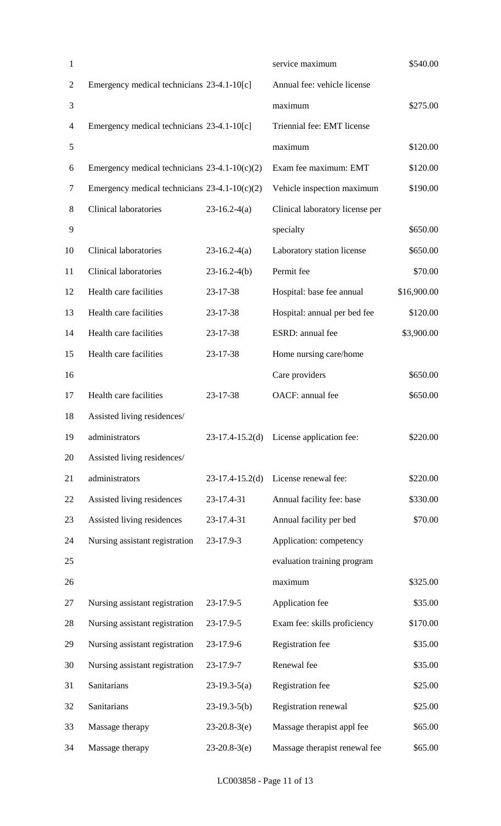| 1              |                                                 |                   | service maximum                 | \$540.00    |
|----------------|-------------------------------------------------|-------------------|---------------------------------|-------------|
| $\overline{2}$ | Emergency medical technicians 23-4.1-10[c]      |                   | Annual fee: vehicle license     |             |
| 3              |                                                 |                   | maximum                         | \$275.00    |
| $\overline{4}$ | Emergency medical technicians 23-4.1-10[c]      |                   | Triennial fee: EMT license      |             |
| $\mathfrak{S}$ |                                                 |                   | maximum                         | \$120.00    |
| 6              | Emergency medical technicians $23-4.1-10(c)(2)$ |                   | Exam fee maximum: EMT           | \$120.00    |
| $\tau$         | Emergency medical technicians $23-4.1-10(c)(2)$ |                   | Vehicle inspection maximum      | \$190.00    |
| 8              | <b>Clinical laboratories</b>                    | $23-16.2-4(a)$    | Clinical laboratory license per |             |
| 9              |                                                 |                   | specialty                       | \$650.00    |
| 10             | <b>Clinical laboratories</b>                    | $23-16.2-4(a)$    | Laboratory station license      | \$650.00    |
| 11             | <b>Clinical laboratories</b>                    | $23-16.2-4(b)$    | Permit fee                      | \$70.00     |
| 12             | Health care facilities                          | 23-17-38          | Hospital: base fee annual       | \$16,900.00 |
| 13             | Health care facilities                          | 23-17-38          | Hospital: annual per bed fee    | \$120.00    |
| 14             | Health care facilities                          | 23-17-38          | ESRD: annual fee                | \$3,900.00  |
| 15             | Health care facilities                          | 23-17-38          | Home nursing care/home          |             |
| 16             |                                                 |                   | Care providers                  | \$650.00    |
| 17             | Health care facilities                          | 23-17-38          | OACF: annual fee                | \$650.00    |
| 18             | Assisted living residences/                     |                   |                                 |             |
| 19             | administrators                                  | $23-17.4-15.2(d)$ | License application fee:        | \$220.00    |
| 20             | Assisted living residences/                     |                   |                                 |             |
| 21             | administrators                                  | $23-17.4-15.2(d)$ | License renewal fee:            | \$220.00    |
| 22             | Assisted living residences                      | 23-17.4-31        | Annual facility fee: base       | \$330.00    |
| 23             | Assisted living residences                      | 23-17.4-31        | Annual facility per bed         | \$70.00     |
| 24             | Nursing assistant registration                  | 23-17.9-3         | Application: competency         |             |
| 25             |                                                 |                   | evaluation training program     |             |
| 26             |                                                 |                   | maximum                         | \$325.00    |
| 27             | Nursing assistant registration                  | 23-17.9-5         | Application fee                 | \$35.00     |
| 28             | Nursing assistant registration                  | 23-17.9-5         | Exam fee: skills proficiency    | \$170.00    |
| 29             | Nursing assistant registration                  | 23-17.9-6         | Registration fee                | \$35.00     |
| 30             | Nursing assistant registration                  | 23-17.9-7         | Renewal fee                     | \$35.00     |
| 31             | Sanitarians                                     | $23-19.3-5(a)$    | Registration fee                | \$25.00     |
| 32             | Sanitarians                                     | $23-19.3-5(b)$    | Registration renewal            | \$25.00     |
| 33             | Massage therapy                                 | $23-20.8-3(e)$    | Massage therapist appl fee      | \$65.00     |
| 34             | Massage therapy                                 | $23-20.8-3(e)$    | Massage therapist renewal fee   | \$65.00     |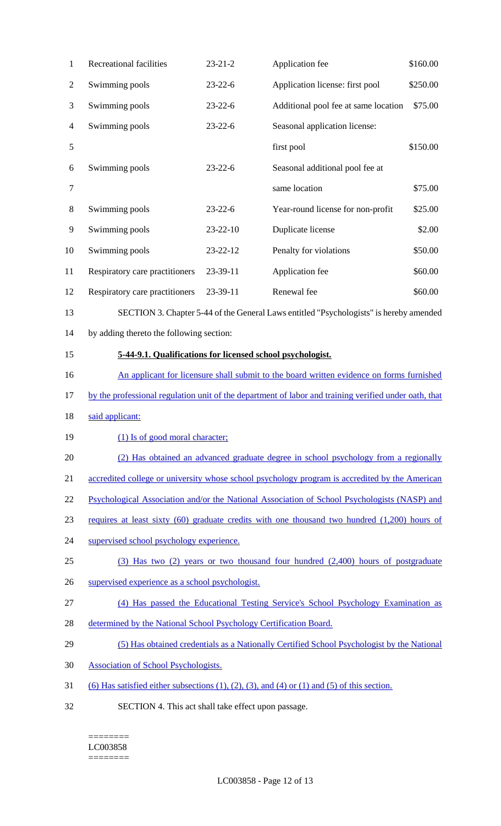| 1              | Recreational facilities                                                                               | $23 - 21 - 2$ | Application fee                                                                                              | \$160.00 |  |
|----------------|-------------------------------------------------------------------------------------------------------|---------------|--------------------------------------------------------------------------------------------------------------|----------|--|
| $\overline{2}$ | Swimming pools                                                                                        | $23 - 22 - 6$ | Application license: first pool                                                                              | \$250.00 |  |
| 3              | Swimming pools                                                                                        | $23 - 22 - 6$ | Additional pool fee at same location                                                                         | \$75.00  |  |
| $\overline{4}$ | Swimming pools                                                                                        | $23 - 22 - 6$ | Seasonal application license:                                                                                |          |  |
| 5              |                                                                                                       |               | first pool                                                                                                   | \$150.00 |  |
| 6              | Swimming pools                                                                                        | $23 - 22 - 6$ | Seasonal additional pool fee at                                                                              |          |  |
| $\tau$         |                                                                                                       |               | same location                                                                                                | \$75.00  |  |
| 8              | Swimming pools                                                                                        | $23 - 22 - 6$ | Year-round license for non-profit                                                                            | \$25.00  |  |
| 9              | Swimming pools                                                                                        | 23-22-10      | Duplicate license                                                                                            | \$2.00   |  |
| 10             | Swimming pools                                                                                        | 23-22-12      | Penalty for violations                                                                                       | \$50.00  |  |
| 11             | Respiratory care practitioners                                                                        | 23-39-11      | Application fee                                                                                              | \$60.00  |  |
| 12             | Respiratory care practitioners                                                                        | 23-39-11      | Renewal fee                                                                                                  | \$60.00  |  |
| 13             |                                                                                                       |               | SECTION 3. Chapter 5-44 of the General Laws entitled "Psychologists" is hereby amended                       |          |  |
| 14             | by adding thereto the following section:                                                              |               |                                                                                                              |          |  |
| 15             | 5-44-9.1. Qualifications for licensed school psychologist.                                            |               |                                                                                                              |          |  |
| 16             | An applicant for licensure shall submit to the board written evidence on forms furnished              |               |                                                                                                              |          |  |
| 17             | by the professional regulation unit of the department of labor and training verified under oath, that |               |                                                                                                              |          |  |
| 18             | said applicant:                                                                                       |               |                                                                                                              |          |  |
| 19             | (1) Is of good moral character;                                                                       |               |                                                                                                              |          |  |
| 20             |                                                                                                       |               | (2) Has obtained an advanced graduate degree in school psychology from a regionally                          |          |  |
| 21             |                                                                                                       |               | accredited college or university whose school psychology program is accredited by the American               |          |  |
| 22             |                                                                                                       |               | Psychological Association and/or the National Association of School Psychologists (NASP) and                 |          |  |
| 23             |                                                                                                       |               | requires at least sixty (60) graduate credits with one thousand two hundred (1,200) hours of                 |          |  |
| 24             | supervised school psychology experience.                                                              |               |                                                                                                              |          |  |
| 25             |                                                                                                       |               | (3) Has two (2) years or two thousand four hundred (2,400) hours of postgraduate                             |          |  |
| 26             | supervised experience as a school psychologist.                                                       |               |                                                                                                              |          |  |
| 27             |                                                                                                       |               | (4) Has passed the Educational Testing Service's School Psychology Examination as                            |          |  |
| 28             | determined by the National School Psychology Certification Board.                                     |               |                                                                                                              |          |  |
| 29             |                                                                                                       |               | (5) Has obtained credentials as a Nationally Certified School Psychologist by the National                   |          |  |
| 30             | <b>Association of School Psychologists.</b>                                                           |               |                                                                                                              |          |  |
| 31             |                                                                                                       |               | $(6)$ Has satisfied either subsections $(1)$ , $(2)$ , $(3)$ , and $(4)$ or $(1)$ and $(5)$ of this section. |          |  |
| 32             | SECTION 4. This act shall take effect upon passage.                                                   |               |                                                                                                              |          |  |

 $=$ LC003858 ========